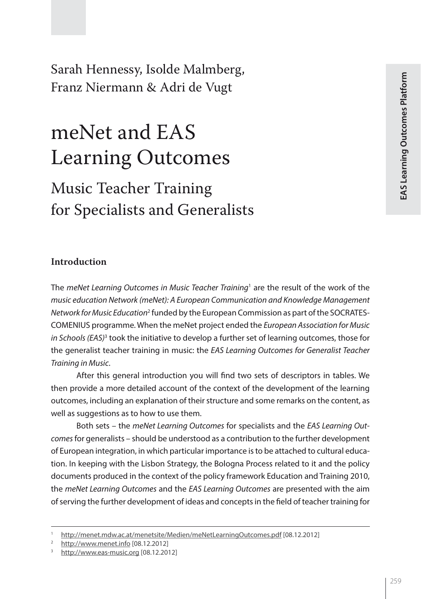Sarah Hennessy, Isolde Malmberg, Franz Niermann & Adri de Vugt

# meNet and EAS Learning Outcomes

## Music Teacher Training for Specialists and Generalists

#### **Introduction**

The *meNet Learning Outcomes in Music Teacher Training*<sup>1</sup> are the result of the work of the *music education Network (meNet): A European Communication and Knowledge Management Network for Music Education*<sup>2</sup> funded by the European Commission as part of the SOCRATES-COMENIUS programme. When the meNet project ended the *European Association for Music*  in Schools (EAS)<sup>3</sup> took the initiative to develop a further set of learning outcomes, those for the generalist teacher training in music: the *EAS Learning Outcomes for Generalist Teacher Training in Music*.

After this general introduction you will find two sets of descriptors in tables. We then provide a more detailed account of the context of the development of the learning outcomes, including an explanation of their structure and some remarks on the content, as well as suggestions as to how to use them.

Both sets – the *meNet Learning Outcomes* for specialists and the *EAS Learning Outcomes* for generalists – should be understood as a contribution to the further development of European integration, in which particular importance is to be attached to cultural education. In keeping with the Lisbon Strategy, the Bologna Process related to it and the policy documents produced in the context of the policy framework Education and Training 2010, the *meNet Learning Outcomes* and the *EAS Learning Outcomes* are presented with the aim of serving the further development of ideas and concepts in the field of teacher training for

<sup>1</sup> http://menet.mdw.ac.at/menetsite/Medien/meNetLearningOutcomes.pdf [08.12.2012]

http://www.menet.info [08.12.2012]

http://www.eas-music.org [08.12.2012]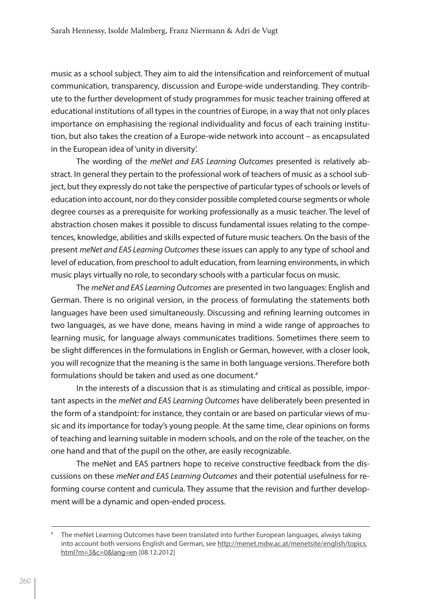music as a school subject. They aim to aid the intensification and reinforcement of mutual communication, transparency, discussion and Europe-wide understanding. They contribute to the further development of study programmes for music teacher training offered at educational institutions of all types in the countries of Europe, in a way that not only places importance on emphasising the regional individuality and focus of each training institution, but also takes the creation of a Europe-wide network into account – as encapsulated in the European idea of 'unity in diversity'.

The wording of the *meNet and EAS Learning Outcomes* presented is relatively abstract. In general they pertain to the professional work of teachers of music as a school subject, but they expressly do not take the perspective of particular types of schools or levels of education into account, nor do they consider possible completed course segments or whole degree courses as a prerequisite for working professionally as a music teacher. The level of abstraction chosen makes it possible to discuss fundamental issues relating to the competences, knowledge, abilities and skills expected of future music teachers. On the basis of the present *meNet and EAS Learning Outcomes* these issues can apply to any type of school and level of education, from preschool to adult education, from learning environments, in which music plays virtually no role, to secondary schools with a particular focus on music.

The *meNet and EAS Learning Outcomes* are presented in two languages: English and German. There is no original version, in the process of formulating the statements both languages have been used simultaneously. Discussing and refining learning outcomes in two languages, as we have done, means having in mind a wide range of approaches to learning music, for language always communicates traditions. Sometimes there seem to be slight differences in the formulations in English or German, however, with a closer look, you will recognize that the meaning is the same in both language versions. Therefore both formulations should be taken and used as one document.<sup>4</sup>

In the interests of a discussion that is as stimulating and critical as possible, important aspects in the *meNet and EAS Learning Outcomes* have deliberately been presented in the form of a standpoint: for instance, they contain or are based on particular views of music and its importance for today's young people. At the same time, clear opinions on forms of teaching and learning suitable in modern schools, and on the role of the teacher, on the one hand and that of the pupil on the other, are easily recognizable.

The meNet and EAS partners hope to receive constructive feedback from the discussions on these *meNet and EAS Learning Outcomes* and their potential usefulness for reforming course content and curricula. They assume that the revision and further development will be a dynamic and open-ended process.

The meNet Learning Outcomes have been translated into further European languages, always taking into account both versions English and German, see http://menet.mdw.ac.at/menetsite/english/topics. html?m=3&c=0&lang=en [08.12.2012]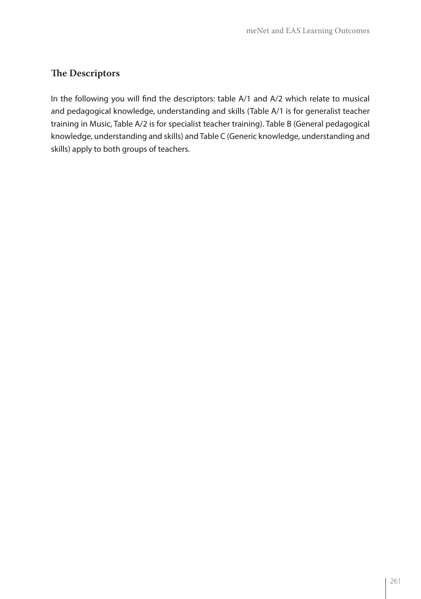#### **The Descriptors**

In the following you will find the descriptors: table A/1 and A/2 which relate to musical and pedagogical knowledge, understanding and skills (Table A/1 is for generalist teacher training in Music, Table A/2 is for specialist teacher training). Table B (General pedagogical knowledge, understanding and skills) and Table C (Generic knowledge, understanding and skills) apply to both groups of teachers.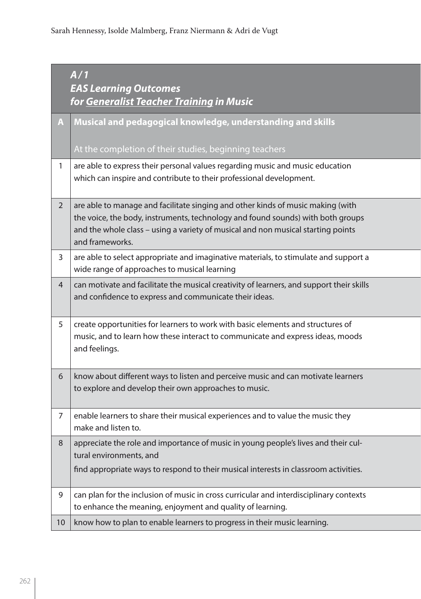|                | A/1<br><b>EAS Learning Outcomes</b><br>for Generalist Teacher Training in Music                                                                                                                                                                                           |
|----------------|---------------------------------------------------------------------------------------------------------------------------------------------------------------------------------------------------------------------------------------------------------------------------|
|                | Musical and pedagogical knowledge, understanding and skills                                                                                                                                                                                                               |
|                | At the completion of their studies, beginning teachers                                                                                                                                                                                                                    |
|                | are able to express their personal values regarding music and music education<br>which can inspire and contribute to their professional development.                                                                                                                      |
| $\overline{2}$ | are able to manage and facilitate singing and other kinds of music making (with<br>the voice, the body, instruments, technology and found sounds) with both groups<br>and the whole class - using a variety of musical and non musical starting points<br>and frameworks. |
| 3              | are able to select appropriate and imaginative materials, to stimulate and support a<br>wide range of approaches to musical learning                                                                                                                                      |
| $\overline{4}$ | can motivate and facilitate the musical creativity of learners, and support their skills<br>and confidence to express and communicate their ideas.                                                                                                                        |
| 5              | create opportunities for learners to work with basic elements and structures of<br>music, and to learn how these interact to communicate and express ideas, moods<br>and feelings.                                                                                        |
| 6              | know about different ways to listen and perceive music and can motivate learners<br>to explore and develop their own approaches to music.                                                                                                                                 |
| 7              | enable learners to share their musical experiences and to value the music they<br>make and listen to.                                                                                                                                                                     |
| 8              | appreciate the role and importance of music in young people's lives and their cul-<br>tural environments, and                                                                                                                                                             |
|                | find appropriate ways to respond to their musical interests in classroom activities.                                                                                                                                                                                      |
| 9              | can plan for the inclusion of music in cross curricular and interdisciplinary contexts<br>to enhance the meaning, enjoyment and quality of learning.                                                                                                                      |
| 10             | know how to plan to enable learners to progress in their music learning.                                                                                                                                                                                                  |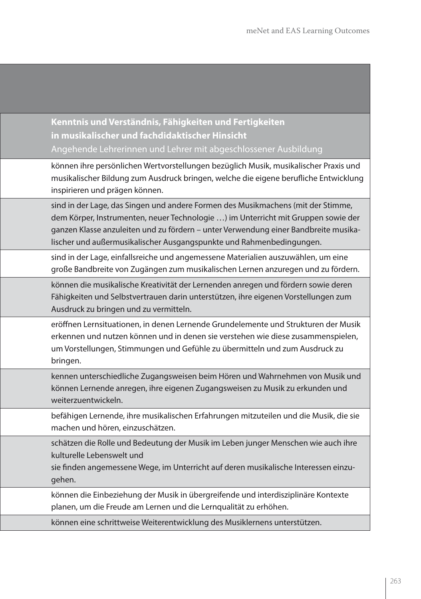**Kenntnis und Verständnis, Fähigkeiten und Fertigkeiten in musikalischer und fachdidaktischer Hinsicht** Angehende Lehrerinnen und Lehrer mit abgeschlossener Ausbildung

können ihre persönlichen Wertvorstellungen bezüglich Musik, musikalischer Praxis und musikalischer Bildung zum Ausdruck bringen, welche die eigene berufliche Entwicklung inspirieren und prägen können.

sind in der Lage, das Singen und andere Formen des Musikmachens (mit der Stimme, dem Körper, Instrumenten, neuer Technologie …) im Unterricht mit Gruppen sowie der ganzen Klasse anzuleiten und zu fördern – unter Verwendung einer Bandbreite musikalischer und außermusikalischer Ausgangspunkte und Rahmenbedingungen.

sind in der Lage, einfallsreiche und angemessene Materialien auszuwählen, um eine große Bandbreite von Zugängen zum musikalischen Lernen anzuregen und zu fördern.

können die musikalische Kreativität der Lernenden anregen und fördern sowie deren Fähigkeiten und Selbstvertrauen darin unterstützen, ihre eigenen Vorstellungen zum Ausdruck zu bringen und zu vermitteln.

eröffnen Lernsituationen, in denen Lernende Grundelemente und Strukturen der Musik erkennen und nutzen können und in denen sie verstehen wie diese zusammenspielen, um Vorstellungen, Stimmungen und Gefühle zu übermitteln und zum Ausdruck zu bringen.

kennen unterschiedliche Zugangsweisen beim Hören und Wahrnehmen von Musik und können Lernende anregen, ihre eigenen Zugangsweisen zu Musik zu erkunden und weiterzuentwickeln.

befähigen Lernende, ihre musikalischen Erfahrungen mitzuteilen und die Musik, die sie machen und hören, einzuschätzen.

schätzen die Rolle und Bedeutung der Musik im Leben junger Menschen wie auch ihre kulturelle Lebenswelt und

sie finden angemessene Wege, im Unterricht auf deren musikalische Interessen einzugehen.

können die Einbeziehung der Musik in übergreifende und interdisziplinäre Kontexte planen, um die Freude am Lernen und die Lernqualität zu erhöhen.

können eine schrittweise Weiterentwicklung des Musiklernens unterstützen.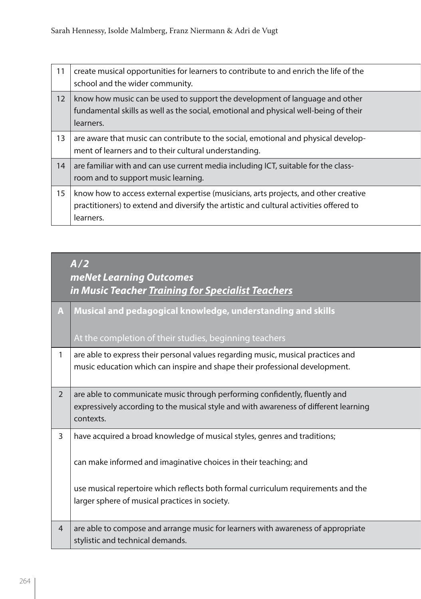| 11                | create musical opportunities for learners to contribute to and enrich the life of the<br>school and the wider community.                                                                   |
|-------------------|--------------------------------------------------------------------------------------------------------------------------------------------------------------------------------------------|
| $12 \overline{ }$ | know how music can be used to support the development of language and other<br>fundamental skills as well as the social, emotional and physical well-being of their<br>learners.           |
| 13                | are aware that music can contribute to the social, emotional and physical develop-<br>ment of learners and to their cultural understanding.                                                |
| 14                | are familiar with and can use current media including ICT, suitable for the class-<br>room and to support music learning.                                                                  |
| 15                | know how to access external expertise (musicians, arts projects, and other creative<br>practitioners) to extend and diversify the artistic and cultural activities offered to<br>learners. |

### *A/2 meNet Learning Outcomes in Music Teacher Training for Specialist Teachers*

| A              | Musical and pedagogical knowledge, understanding and skills<br>At the completion of their studies, beginning teachers                                                                                                                                                                |
|----------------|--------------------------------------------------------------------------------------------------------------------------------------------------------------------------------------------------------------------------------------------------------------------------------------|
| 1              | are able to express their personal values regarding music, musical practices and<br>music education which can inspire and shape their professional development.                                                                                                                      |
| $\overline{2}$ | are able to communicate music through performing confidently, fluently and<br>expressively according to the musical style and with awareness of different learning<br>contexts.                                                                                                      |
| 3              | have acquired a broad knowledge of musical styles, genres and traditions;<br>can make informed and imaginative choices in their teaching; and<br>use musical repertoire which reflects both formal curriculum requirements and the<br>larger sphere of musical practices in society. |
| $\overline{4}$ | are able to compose and arrange music for learners with awareness of appropriate<br>stylistic and technical demands.                                                                                                                                                                 |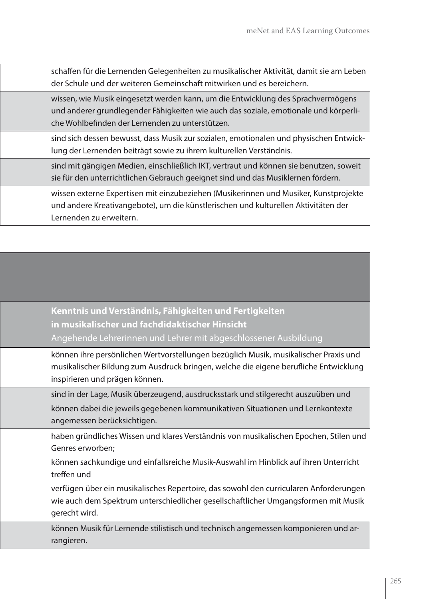schaffen für die Lernenden Gelegenheiten zu musikalischer Aktivität, damit sie am Leben der Schule und der weiteren Gemeinschaft mitwirken und es bereichern.

wissen, wie Musik eingesetzt werden kann, um die Entwicklung des Sprachvermögens und anderer grundlegender Fähigkeiten wie auch das soziale, emotionale und körperliche Wohlbefinden der Lernenden zu unterstützen.

sind sich dessen bewusst, dass Musik zur sozialen, emotionalen und physischen Entwicklung der Lernenden beiträgt sowie zu ihrem kulturellen Verständnis.

sind mit gängigen Medien, einschließlich IKT, vertraut und können sie benutzen, soweit sie für den unterrichtlichen Gebrauch geeignet sind und das Musiklernen fördern.

wissen externe Expertisen mit einzubeziehen (Musikerinnen und Musiker, Kunstprojekte und andere Kreativangebote), um die künstlerischen und kulturellen Aktivitäten der Lernenden zu erweitern.

**Kenntnis und Verständnis, Fähigkeiten und Fertigkeiten in musikalischer und fachdidaktischer Hinsicht** Angehende Lehrerinnen und Lehrer mit abgeschlossener Ausbildung

können ihre persönlichen Wertvorstellungen bezüglich Musik, musikalischer Praxis und musikalischer Bildung zum Ausdruck bringen, welche die eigene berufliche Entwicklung inspirieren und prägen können.

sind in der Lage, Musik überzeugend, ausdrucksstark und stilgerecht auszuüben und können dabei die jeweils gegebenen kommunikativen Situationen und Lernkontexte angemessen berücksichtigen.

haben gründliches Wissen und klares Verständnis von musikalischen Epochen, Stilen und Genres erworben;

können sachkundige und einfallsreiche Musik-Auswahl im Hinblick auf ihren Unterricht treffen und

verfügen über ein musikalisches Repertoire, das sowohl den curricularen Anforderungen wie auch dem Spektrum unterschiedlicher gesellschaftlicher Umgangsformen mit Musik gerecht wird.

können Musik für Lernende stilistisch und technisch angemessen komponieren und arrangieren.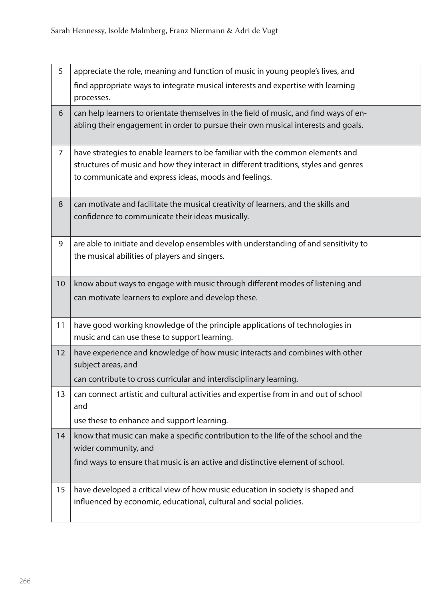| 5  | appreciate the role, meaning and function of music in young people's lives, and                                                                                                                                                 |
|----|---------------------------------------------------------------------------------------------------------------------------------------------------------------------------------------------------------------------------------|
|    | find appropriate ways to integrate musical interests and expertise with learning<br>processes.                                                                                                                                  |
| 6  | can help learners to orientate themselves in the field of music, and find ways of en-<br>abling their engagement in order to pursue their own musical interests and goals.                                                      |
| 7  | have strategies to enable learners to be familiar with the common elements and<br>structures of music and how they interact in different traditions, styles and genres<br>to communicate and express ideas, moods and feelings. |
| 8  | can motivate and facilitate the musical creativity of learners, and the skills and<br>confidence to communicate their ideas musically.                                                                                          |
| 9  | are able to initiate and develop ensembles with understanding of and sensitivity to<br>the musical abilities of players and singers.                                                                                            |
| 10 | know about ways to engage with music through different modes of listening and<br>can motivate learners to explore and develop these.                                                                                            |
| 11 | have good working knowledge of the principle applications of technologies in<br>music and can use these to support learning.                                                                                                    |
| 12 | have experience and knowledge of how music interacts and combines with other<br>subject areas, and<br>can contribute to cross curricular and interdisciplinary learning.                                                        |
| 13 | can connect artistic and cultural activities and expertise from in and out of school<br>and<br>use these to enhance and support learning.                                                                                       |
| 14 | know that music can make a specific contribution to the life of the school and the<br>wider community, and<br>find ways to ensure that music is an active and distinctive element of school.                                    |
| 15 | have developed a critical view of how music education in society is shaped and<br>influenced by economic, educational, cultural and social policies.                                                                            |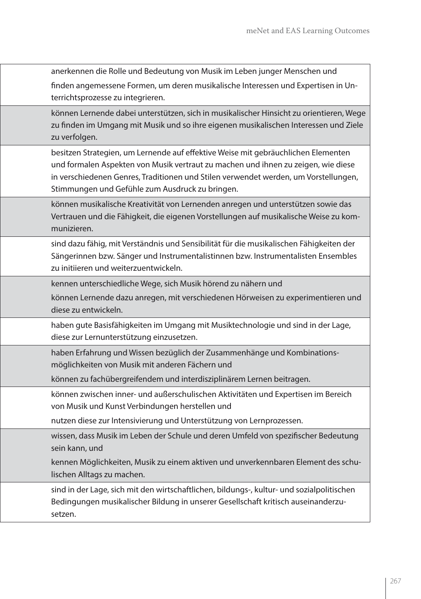anerkennen die Rolle und Bedeutung von Musik im Leben junger Menschen und finden angemessene Formen, um deren musikalische Interessen und Expertisen in Unterrichtsprozesse zu integrieren.

können Lernende dabei unterstützen, sich in musikalischer Hinsicht zu orientieren, Wege zu finden im Umgang mit Musik und so ihre eigenen musikalischen Interessen und Ziele zu verfolgen.

besitzen Strategien, um Lernende auf effektive Weise mit gebräuchlichen Elementen und formalen Aspekten von Musik vertraut zu machen und ihnen zu zeigen, wie diese in verschiedenen Genres, Traditionen und Stilen verwendet werden, um Vorstellungen, Stimmungen und Gefühle zum Ausdruck zu bringen.

können musikalische Kreativität von Lernenden anregen und unterstützen sowie das Vertrauen und die Fähigkeit, die eigenen Vorstellungen auf musikalische Weise zu kommunizieren.

sind dazu fähig, mit Verständnis und Sensibilität für die musikalischen Fähigkeiten der Sängerinnen bzw. Sänger und Instrumentalistinnen bzw. Instrumentalisten Ensembles zu initiieren und weiterzuentwickeln.

kennen unterschiedliche Wege, sich Musik hörend zu nähern und

können Lernende dazu anregen, mit verschiedenen Hörweisen zu experimentieren und diese zu entwickeln.

haben gute Basisfähigkeiten im Umgang mit Musiktechnologie und sind in der Lage, diese zur Lernunterstützung einzusetzen.

haben Erfahrung und Wissen bezüglich der Zusammenhänge und Kombinationsmöglichkeiten von Musik mit anderen Fächern und

können zu fachübergreifendem und interdisziplinärem Lernen beitragen.

können zwischen inner- und außerschulischen Aktivitäten und Expertisen im Bereich von Musik und Kunst Verbindungen herstellen und

nutzen diese zur Intensivierung und Unterstützung von Lernprozessen.

wissen, dass Musik im Leben der Schule und deren Umfeld von spezifischer Bedeutung sein kann, und

kennen Möglichkeiten, Musik zu einem aktiven und unverkennbaren Element des schulischen Alltags zu machen.

sind in der Lage, sich mit den wirtschaftlichen, bildungs-, kultur- und sozialpolitischen Bedingungen musikalischer Bildung in unserer Gesellschaft kritisch auseinanderzusetzen.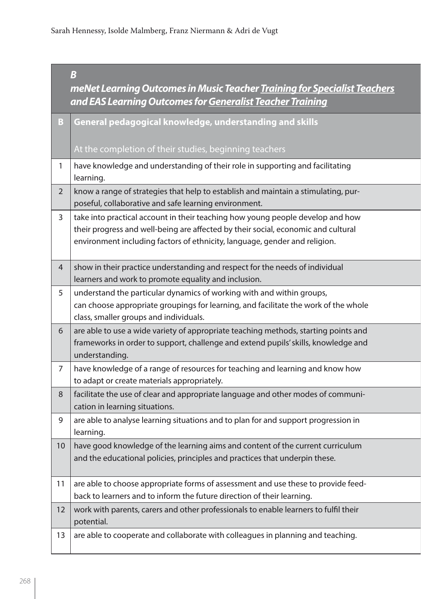|                | meNet Learning Outcomes in Music Teacher Training for Specialist Teachers<br>and EAS Learning Outcomes for Generalist Teacher Training                                                                                                            |
|----------------|---------------------------------------------------------------------------------------------------------------------------------------------------------------------------------------------------------------------------------------------------|
| B              | General pedagogical knowledge, understanding and skills                                                                                                                                                                                           |
|                | At the completion of their studies, beginning teachers                                                                                                                                                                                            |
|                | have knowledge and understanding of their role in supporting and facilitating<br>learning.                                                                                                                                                        |
| $\overline{2}$ | know a range of strategies that help to establish and maintain a stimulating, pur-<br>poseful, collaborative and safe learning environment.                                                                                                       |
| 3              | take into practical account in their teaching how young people develop and how<br>their progress and well-being are affected by their social, economic and cultural<br>environment including factors of ethnicity, language, gender and religion. |
| $\overline{4}$ | show in their practice understanding and respect for the needs of individual<br>learners and work to promote equality and inclusion.                                                                                                              |
|                | understand the particular dynamics of working with and within groups,<br>can choose appropriate groupings for learning, and facilitate the work of the whole<br>class, smaller groups and individuals.                                            |
| 6              | are able to use a wide variety of appropriate teaching methods, starting points and<br>frameworks in order to support, challenge and extend pupils' skills, knowledge and<br>understanding.                                                       |
|                | have knowledge of a range of resources for teaching and learning and know how<br>to adapt or create materials appropriately.                                                                                                                      |
| 8              | facilitate the use of clear and appropriate language and other modes of communi-<br>cation in learning situations.                                                                                                                                |
|                | are able to analyse learning situations and to plan for and support progression in<br>learning.                                                                                                                                                   |
| 10             | have good knowledge of the learning aims and content of the current curriculum<br>and the educational policies, principles and practices that underpin these.                                                                                     |
|                | are able to choose appropriate forms of assessment and use these to provide feed-<br>back to learners and to inform the future direction of their learning.                                                                                       |
| 12             | work with parents, carers and other professionals to enable learners to fulfil their<br>potential.                                                                                                                                                |
| 13             | are able to cooperate and collaborate with colleagues in planning and teaching.                                                                                                                                                                   |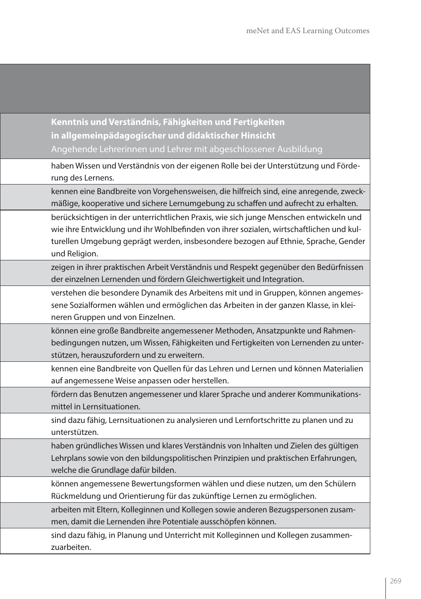**Kenntnis und Verständnis, Fähigkeiten und Fertigkeiten in allgemeinpädagogischer und didaktischer Hinsicht** Angehende Lehrerinnen und Lehrer mit abgeschlossener Ausbildung

haben Wissen und Verständnis von der eigenen Rolle bei der Unterstützung und Förderung des Lernens.

kennen eine Bandbreite von Vorgehensweisen, die hilfreich sind, eine anregende, zweckmäßige, kooperative und sichere Lernumgebung zu schaffen und aufrecht zu erhalten.

berücksichtigen in der unterrichtlichen Praxis, wie sich junge Menschen entwickeln und wie ihre Entwicklung und ihr Wohlbefinden von ihrer sozialen, wirtschaftlichen und kulturellen Umgebung geprägt werden, insbesondere bezogen auf Ethnie, Sprache, Gender und Religion.

zeigen in ihrer praktischen Arbeit Verständnis und Respekt gegenüber den Bedürfnissen der einzelnen Lernenden und fördern Gleichwertigkeit und Integration.

verstehen die besondere Dynamik des Arbeitens mit und in Gruppen, können angemessene Sozialformen wählen und ermöglichen das Arbeiten in der ganzen Klasse, in kleineren Gruppen und von Einzelnen.

können eine große Bandbreite angemessener Methoden, Ansatzpunkte und Rahmenbedingungen nutzen, um Wissen, Fähigkeiten und Fertigkeiten von Lernenden zu unterstützen, herauszufordern und zu erweitern.

kennen eine Bandbreite von Quellen für das Lehren und Lernen und können Materialien auf angemessene Weise anpassen oder herstellen.

fördern das Benutzen angemessener und klarer Sprache und anderer Kommunikationsmittel in Lernsituationen.

sind dazu fähig, Lernsituationen zu analysieren und Lernfortschritte zu planen und zu unterstützen.

haben gründliches Wissen und klares Verständnis von Inhalten und Zielen des gültigen Lehrplans sowie von den bildungspolitischen Prinzipien und praktischen Erfahrungen, welche die Grundlage dafür bilden.

können angemessene Bewertungsformen wählen und diese nutzen, um den Schülern Rückmeldung und Orientierung für das zukünftige Lernen zu ermöglichen.

arbeiten mit Eltern, Kolleginnen und Kollegen sowie anderen Bezugspersonen zusammen, damit die Lernenden ihre Potentiale ausschöpfen können.

sind dazu fähig, in Planung und Unterricht mit Kolleginnen und Kollegen zusammenzuarbeiten.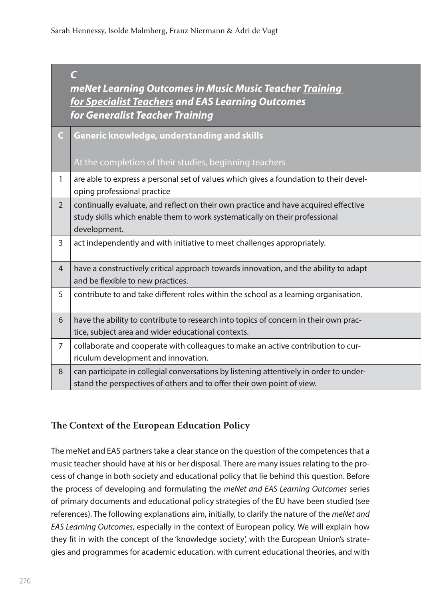|                | meNet Learning Outcomes in Music Music Teacher Training<br>for Specialist Teachers and EAS Learning Outcomes<br>for Generalist Teacher Training                                    |
|----------------|------------------------------------------------------------------------------------------------------------------------------------------------------------------------------------|
|                | <b>Generic knowledge, understanding and skills</b><br>At the completion of their studies, beginning teachers                                                                       |
|                | are able to express a personal set of values which gives a foundation to their devel-<br>oping professional practice                                                               |
| $\overline{2}$ | continually evaluate, and reflect on their own practice and have acquired effective<br>study skills which enable them to work systematically on their professional<br>development. |
| 3              | act independently and with initiative to meet challenges appropriately.                                                                                                            |
| $\overline{4}$ | have a constructively critical approach towards innovation, and the ability to adapt<br>and be flexible to new practices.                                                          |
| 5              | contribute to and take different roles within the school as a learning organisation.                                                                                               |
| 6              | have the ability to contribute to research into topics of concern in their own prac-<br>tice, subject area and wider educational contexts.                                         |
|                | collaborate and cooperate with colleagues to make an active contribution to cur-<br>riculum development and innovation.                                                            |
| 8              | can participate in collegial conversations by listening attentively in order to under-<br>stand the perspectives of others and to offer their own point of view.                   |

#### **The Context of the European Education Policy**

The meNet and EAS partners take a clear stance on the question of the competences that a music teacher should have at his or her disposal. There are many issues relating to the process of change in both society and educational policy that lie behind this question. Before the process of developing and formulating the *meNet and EAS Learning Outcomes* series of primary documents and educational policy strategies of the EU have been studied (see references). The following explanations aim, initially, to clarify the nature of the *meNet and EAS Learning Outcomes*, especially in the context of European policy. We will explain how they fit in with the concept of the 'knowledge society', with the European Union's strategies and programmes for academic education, with current educational theories, and with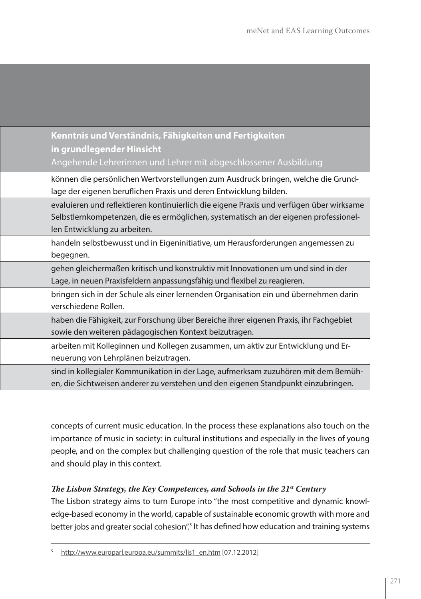**Kenntnis und Verständnis, Fähigkeiten und Fertigkeiten in grundlegender Hinsicht**  Angehende Lehrerinnen und Lehrer mit abgeschlossener Ausbildung

können die persönlichen Wertvorstellungen zum Ausdruck bringen, welche die Grundlage der eigenen beruflichen Praxis und deren Entwicklung bilden.

evaluieren und reflektieren kontinuierlich die eigene Praxis und verfügen über wirksame Selbstlernkompetenzen, die es ermöglichen, systematisch an der eigenen professionellen Entwicklung zu arbeiten.

handeln selbstbewusst und in Eigeninitiative, um Herausforderungen angemessen zu begegnen.

gehen gleichermaßen kritisch und konstruktiv mit Innovationen um und sind in der Lage, in neuen Praxisfeldern anpassungsfähig und flexibel zu reagieren.

bringen sich in der Schule als einer lernenden Organisation ein und übernehmen darin verschiedene Rollen.

haben die Fähigkeit, zur Forschung über Bereiche ihrer eigenen Praxis, ihr Fachgebiet sowie den weiteren pädagogischen Kontext beizutragen.

arbeiten mit Kolleginnen und Kollegen zusammen, um aktiv zur Entwicklung und Erneuerung von Lehrplänen beizutragen.

sind in kollegialer Kommunikation in der Lage, aufmerksam zuzuhören mit dem Bemühen, die Sichtweisen anderer zu verstehen und den eigenen Standpunkt einzubringen.

concepts of current music education. In the process these explanations also touch on the importance of music in society: in cultural institutions and especially in the lives of young people, and on the complex but challenging question of the role that music teachers can and should play in this context.

#### *The Lisbon Strategy, the Key Competences, and Schools in the 21st Century*

The Lisbon strategy aims to turn Europe into "the most competitive and dynamic knowledge-based economy in the world, capable of sustainable economic growth with more and better jobs and greater social cohesion".<sup>5</sup> It has defined how education and training systems

<sup>5</sup> http://www.europarl.europa.eu/summits/lis1\_en.htm [07.12.2012]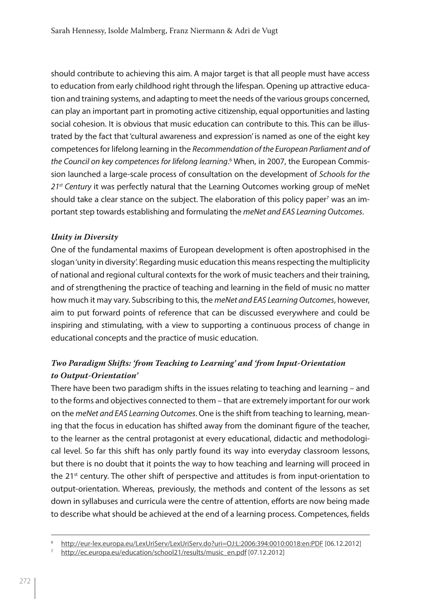should contribute to achieving this aim. A major target is that all people must have access to education from early childhood right through the lifespan. Opening up attractive education and training systems, and adapting to meet the needs of the various groups concerned, can play an important part in promoting active citizenship, equal opportunities and lasting social cohesion. It is obvious that music education can contribute to this. This can be illustrated by the fact that 'cultural awareness and expression' is named as one of the eight key competences for lifelong learning in the *Recommendation of the European Parliament and of the Council on key competences for lifelong learning.*6 When, in 2007, the European Commission launched a large-scale process of consultation on the development of *Schools for the 21st Century* it was perfectly natural that the Learning Outcomes working group of meNet should take a clear stance on the subject. The elaboration of this policy paper $^7$  was an important step towards establishing and formulating the *meNet and EAS Learning Outcomes*.

#### *Unity in Diversity*

One of the fundamental maxims of European development is often apostrophised in the slogan 'unity in diversity'. Regarding music education this means respecting the multiplicity of national and regional cultural contexts for the work of music teachers and their training, and of strengthening the practice of teaching and learning in the field of music no matter how much it may vary. Subscribing to this, the *meNet and EAS Learning Outcomes*, however, aim to put forward points of reference that can be discussed everywhere and could be inspiring and stimulating, with a view to supporting a continuous process of change in educational concepts and the practice of music education.

#### *Two Paradigm Shifts: 'from Teaching to Learning' and 'from Input-Orientation to Output-Orientation'*

There have been two paradigm shifts in the issues relating to teaching and learning – and to the forms and objectives connected to them – that are extremely important for our work on the *meNet and EAS Learning Outcomes*. One is the shift from teaching to learning, meaning that the focus in education has shifted away from the dominant figure of the teacher, to the learner as the central protagonist at every educational, didactic and methodological level. So far this shift has only partly found its way into everyday classroom lessons, but there is no doubt that it points the way to how teaching and learning will proceed in the 21<sup>st</sup> century. The other shift of perspective and attitudes is from input-orientation to output-orientation. Whereas, previously, the methods and content of the lessons as set down in syllabuses and curricula were the centre of attention, efforts are now being made to describe what should be achieved at the end of a learning process. Competences, fields

<sup>6</sup> http://eur-lex.europa.eu/LexUriServ/LexUriServ.do?uri=OJ:L:2006:394:0010:0018:en:PDF [06.12.2012]

<sup>&</sup>lt;sup>7</sup> http://ec.europa.eu/education/school21/results/music\_en.pdf [07.12.2012]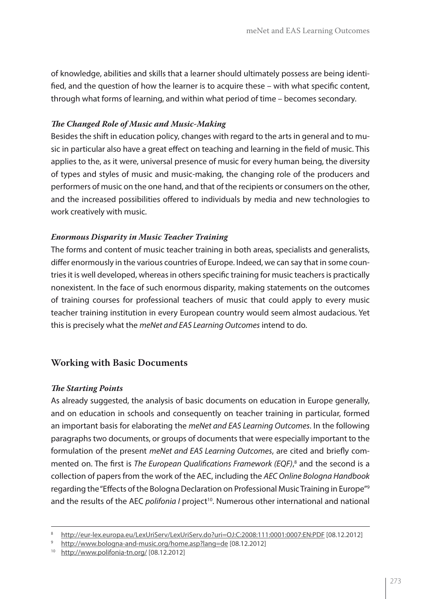of knowledge, abilities and skills that a learner should ultimately possess are being identified, and the question of how the learner is to acquire these – with what specific content, through what forms of learning, and within what period of time – becomes secondary.

#### *The Changed Role of Music and Music-Making*

Besides the shift in education policy, changes with regard to the arts in general and to music in particular also have a great effect on teaching and learning in the field of music. This applies to the, as it were, universal presence of music for every human being, the diversity of types and styles of music and music-making, the changing role of the producers and performers of music on the one hand, and that of the recipients or consumers on the other, and the increased possibilities offered to individuals by media and new technologies to work creatively with music.

#### *Enormous Disparity in Music Teacher Training*

The forms and content of music teacher training in both areas, specialists and generalists, differ enormously in the various countries of Europe. Indeed, we can say that in some countries it is well developed, whereas in others specific training for music teachers is practically nonexistent. In the face of such enormous disparity, making statements on the outcomes of training courses for professional teachers of music that could apply to every music teacher training institution in every European country would seem almost audacious. Yet this is precisely what the *meNet and EAS Learning Outcomes* intend to do.

#### **Working with Basic Documents**

#### *The Starting Points*

As already suggested, the analysis of basic documents on education in Europe generally, and on education in schools and consequently on teacher training in particular, formed an important basis for elaborating the *meNet and EAS Learning Outcomes*. In the following paragraphs two documents, or groups of documents that were especially important to the formulation of the present *meNet and EAS Learning Outcomes*, are cited and briefly commented on. The first is *The European Qualifications Framework (EQF)*, 8 and the second is a collection of papers from the work of the AEC, including the *AEC Online Bologna Handbook* regarding the "Effects of the Bologna Declaration on Professional Music Training in Europe"9 and the results of the AEC *polifonia I* project<sup>10</sup>. Numerous other international and national

<sup>8</sup> http://eur-lex.europa.eu/LexUriServ/LexUriServ.do?uri=OJ:C:2008:111:0001:0007:EN:PDF [08.12.2012]

http://www.bologna-and-music.org/home.asp?lang=de [08.12.2012]

<sup>10</sup> http://www.polifonia-tn.org/ [08.12.2012]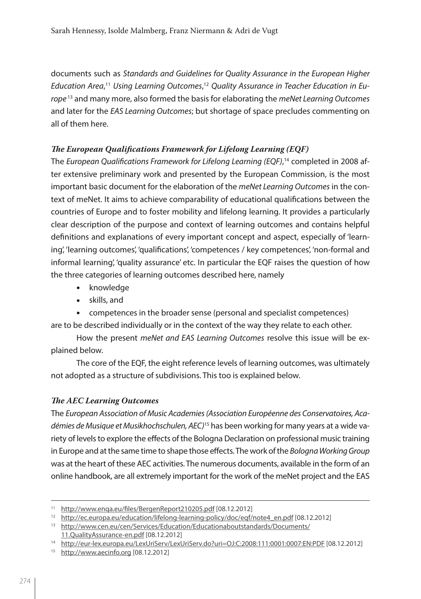documents such as *Standards and Guidelines for Quality Assurance in the European Higher Education Area*, <sup>11</sup> *Using Learning Outcomes*, <sup>12</sup> *Quality Assurance in Teacher Education in Europe* 13 and many more, also formed the basis for elaborating the *meNet Learning Outcomes* and later for the *EAS Learning Outcomes*; but shortage of space precludes commenting on all of them here.

#### *The European Qualifications Framework for Lifelong Learning (EQF)*

The *European Qualifications Framework for Lifelong Learning (EQF)*, 14 completed in 2008 after extensive preliminary work and presented by the European Commission, is the most important basic document for the elaboration of the *meNet Learning Outcomes* in the context of meNet. It aims to achieve comparability of educational qualifications between the countries of Europe and to foster mobility and lifelong learning. It provides a particularly clear description of the purpose and context of learning outcomes and contains helpful definitions and explanations of every important concept and aspect, especially of 'learning', 'learning outcomes', 'qualifications', 'competences / key competences', 'non-formal and informal learning', 'quality assurance' etc. In particular the EQF raises the question of how the three categories of learning outcomes described here, namely

- knowledge
- • skills, and
- competences in the broader sense (personal and specialist competences)

are to be described individually or in the context of the way they relate to each other.

How the present *meNet and EAS Learning Outcomes* resolve this issue will be explained below.

The core of the EQF, the eight reference levels of learning outcomes, was ultimately not adopted as a structure of subdivisions. This too is explained below.

#### *The AEC Learning Outcomes*

The *European Association of Music Academies (Association Européenne des Conservatoires, Académies de Musique et Musikhochschulen, AEC)*15 has been working for many years at a wide variety of levels to explore the effects of the Bologna Declaration on professional music training in Europe and at the same time to shape those effects. The work of the *Bologna Working Group* was at the heart of these AEC activities. The numerous documents, available in the form of an online handbook, are all extremely important for the work of the meNet project and the EAS

<sup>11</sup> http://www.enqa.eu/files/BergenReport210205.pdf [08.12.2012]

<sup>12</sup> http://ec.europa.eu/education/lifelong-learning-policy/doc/eqf/note4\_en.pdf [08.12.2012]

<sup>13</sup> http://www.cen.eu/cen/Services/Education/Educationaboutstandards/Documents/ 11.QualityAssurance-en.pdf [08.12.2012]

<sup>14</sup> http://eur-lex.europa.eu/LexUriServ/LexUriServ.do?uri=OJ:C:2008:111:0001:0007:EN:PDF [08.12.2012]

<sup>15</sup> http://www.aecinfo.org [08.12.2012]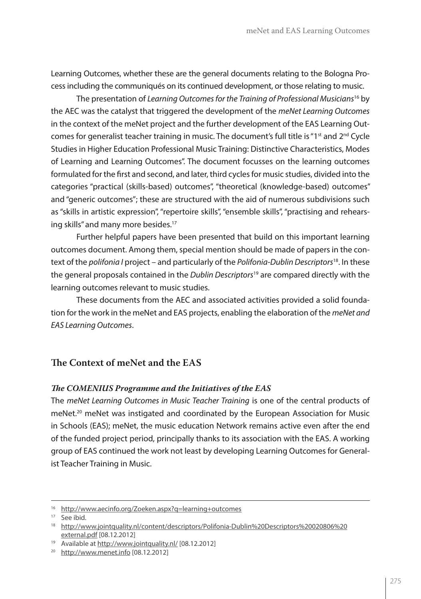Learning Outcomes, whether these are the general documents relating to the Bologna Process including the communiqués on its continued development, or those relating to music.

The presentation of *Learning Outcomes for the Training of Professional Musicians*16 by the AEC was the catalyst that triggered the development of the *meNet Learning Outcomes* in the context of the meNet project and the further development of the EAS Learning Outcomes for generalist teacher training in music. The document's full title is " $1<sup>st</sup>$  and  $2<sup>nd</sup>$  Cycle Studies in Higher Education Professional Music Training: Distinctive Characteristics, Modes of Learning and Learning Outcomes". The document focusses on the learning outcomes formulated for the first and second, and later, third cycles for music studies, divided into the categories "practical (skills-based) outcomes", "theoretical (knowledge-based) outcomes" and "generic outcomes"; these are structured with the aid of numerous subdivisions such as "skills in artistic expression", "repertoire skills", "ensemble skills", "practising and rehearsing skills" and many more besides.<sup>17</sup>

Further helpful papers have been presented that build on this important learning outcomes document. Among them, special mention should be made of papers in the context of the *polifonia I* project – and particularly of the *Polifonia-Dublin Descriptors*18. In these the general proposals contained in the *Dublin Descriptors*19 are compared directly with the learning outcomes relevant to music studies.

These documents from the AEC and associated activities provided a solid foundation for the work in the meNet and EAS projects, enabling the elaboration of the *meNet and EAS Learning Outcomes*.

#### **The Context of meNet and the EAS**

#### *The COMENIUS Programme and the Initiatives of the EAS*

The *meNet Learning Outcomes in Music Teacher Training* is one of the central products of meNet.<sup>20</sup> meNet was instigated and coordinated by the European Association for Music in Schools (EAS); meNet, the music education Network remains active even after the end of the funded project period, principally thanks to its association with the EAS. A working group of EAS continued the work not least by developing Learning Outcomes for Generalist Teacher Training in Music.

<sup>16</sup> http://www.aecinfo.org/Zoeken.aspx?q=learning+outcomes

<sup>&</sup>lt;sup>17</sup> See ibid.

<sup>18</sup> http://www.jointquality.nl/content/descriptors/Polifonia-Dublin%20Descriptors%20020806%20 external.pdf [08.12.2012]

<sup>19</sup> Available at http://www.jointquality.nl/ [08.12.2012]

<sup>20</sup> http://www.menet.info [08.12.2012]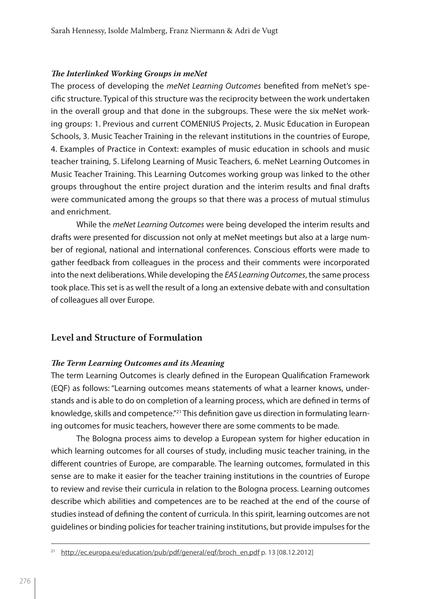#### *The Interlinked Working Groups in meNet*

The process of developing the *meNet Learning Outcomes* benefited from meNet's specific structure. Typical of this structure was the reciprocity between the work undertaken in the overall group and that done in the subgroups. These were the six meNet working groups: 1. Previous and current COMENIUS Projects, 2. Music Education in European Schools, 3. Music Teacher Training in the relevant institutions in the countries of Europe, 4. Examples of Practice in Context: examples of music education in schools and music teacher training, 5. Lifelong Learning of Music Teachers, 6. meNet Learning Outcomes in Music Teacher Training. This Learning Outcomes working group was linked to the other groups throughout the entire project duration and the interim results and final drafts were communicated among the groups so that there was a process of mutual stimulus and enrichment.

While the *meNet Learning Outcomes* were being developed the interim results and drafts were presented for discussion not only at meNet meetings but also at a large number of regional, national and international conferences. Conscious efforts were made to gather feedback from colleagues in the process and their comments were incorporated into the next deliberations. While developing the *EAS Learning Outcomes*, the same process took place. This set is as well the result of a long an extensive debate with and consultation of colleagues all over Europe.

#### **Level and Structure of Formulation**

#### *The Term Learning Outcomes and its Meaning*

The term Learning Outcomes is clearly defined in the European Qualification Framework (EQF) as follows: "Learning outcomes means statements of what a learner knows, understands and is able to do on completion of a learning process, which are defined in terms of knowledge, skills and competence."<sup>21</sup> This definition gave us direction in formulating learning outcomes for music teachers, however there are some comments to be made.

The Bologna process aims to develop a European system for higher education in which learning outcomes for all courses of study, including music teacher training, in the different countries of Europe, are comparable. The learning outcomes, formulated in this sense are to make it easier for the teacher training institutions in the countries of Europe to review and revise their curricula in relation to the Bologna process. Learning outcomes describe which abilities and competences are to be reached at the end of the course of studies instead of defining the content of curricula. In this spirit, learning outcomes are not guidelines or binding policies for teacher training institutions, but provide impulses for the

<sup>&</sup>lt;sup>21</sup> http://ec.europa.eu/education/pub/pdf/general/eqf/broch\_en.pdf p. 13 [08.12.2012]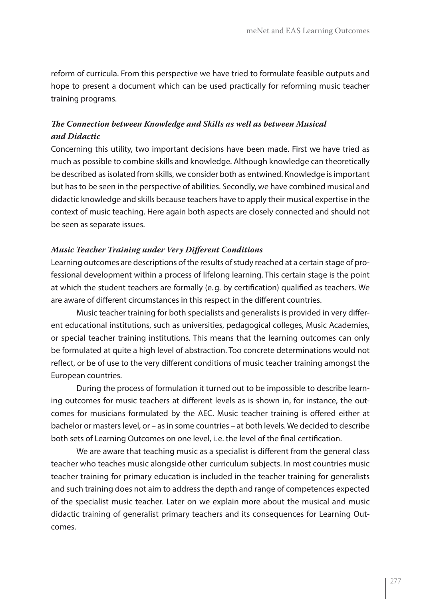reform of curricula. From this perspective we have tried to formulate feasible outputs and hope to present a document which can be used practically for reforming music teacher training programs.

#### *The Connection between Knowledge and Skills as well as between Musical and Didactic*

Concerning this utility, two important decisions have been made. First we have tried as much as possible to combine skills and knowledge. Although knowledge can theoretically be described as isolated from skills, we consider both as entwined. Knowledge is important but has to be seen in the perspective of abilities. Secondly, we have combined musical and didactic knowledge and skills because teachers have to apply their musical expertise in the context of music teaching. Here again both aspects are closely connected and should not be seen as separate issues.

#### *Music Teacher Training under Very Different Conditions*

Learning outcomes are descriptions of the results of study reached at a certain stage of professional development within a process of lifelong learning. This certain stage is the point at which the student teachers are formally (e.g. by certification) qualified as teachers. We are aware of different circumstances in this respect in the different countries.

Music teacher training for both specialists and generalists is provided in very different educational institutions, such as universities, pedagogical colleges, Music Academies, or special teacher training institutions. This means that the learning outcomes can only be formulated at quite a high level of abstraction. Too concrete determinations would not reflect, or be of use to the very different conditions of music teacher training amongst the European countries.

During the process of formulation it turned out to be impossible to describe learning outcomes for music teachers at different levels as is shown in, for instance, the outcomes for musicians formulated by the AEC. Music teacher training is offered either at bachelor or masters level, or – as in some countries – at both levels. We decided to describe both sets of Learning Outcomes on one level, i.e. the level of the final certification.

We are aware that teaching music as a specialist is different from the general class teacher who teaches music alongside other curriculum subjects. In most countries music teacher training for primary education is included in the teacher training for generalists and such training does not aim to address the depth and range of competences expected of the specialist music teacher. Later on we explain more about the musical and music didactic training of generalist primary teachers and its consequences for Learning Outcomes.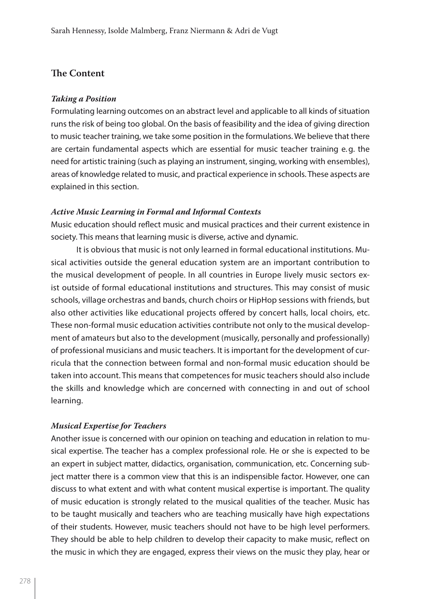#### **The Content**

#### *Taking a Position*

Formulating learning outcomes on an abstract level and applicable to all kinds of situation runs the risk of being too global. On the basis of feasibility and the idea of giving direction to music teacher training, we take some position in the formulations. We believe that there are certain fundamental aspects which are essential for music teacher training e.g. the need for artistic training (such as playing an instrument, singing, working with ensembles), areas of knowledge related to music, and practical experience in schools. These aspects are explained in this section.

#### *Active Music Learning in Formal and Informal Contexts*

Music education should reflect music and musical practices and their current existence in society. This means that learning music is diverse, active and dynamic.

It is obvious that music is not only learned in formal educational institutions. Musical activities outside the general education system are an important contribution to the musical development of people. In all countries in Europe lively music sectors exist outside of formal educational institutions and structures. This may consist of music schools, village orchestras and bands, church choirs or HipHop sessions with friends, but also other activities like educational projects offered by concert halls, local choirs, etc. These non-formal music education activities contribute not only to the musical development of amateurs but also to the development (musically, personally and professionally) of professional musicians and music teachers. It is important for the development of curricula that the connection between formal and non-formal music education should be taken into account. This means that competences for music teachers should also include the skills and knowledge which are concerned with connecting in and out of school learning.

#### *Musical Expertise for Teachers*

Another issue is concerned with our opinion on teaching and education in relation to musical expertise. The teacher has a complex professional role. He or she is expected to be an expert in subject matter, didactics, organisation, communication, etc. Concerning subject matter there is a common view that this is an indispensible factor. However, one can discuss to what extent and with what content musical expertise is important. The quality of music education is strongly related to the musical qualities of the teacher. Music has to be taught musically and teachers who are teaching musically have high expectations of their students. However, music teachers should not have to be high level performers. They should be able to help children to develop their capacity to make music, reflect on the music in which they are engaged, express their views on the music they play, hear or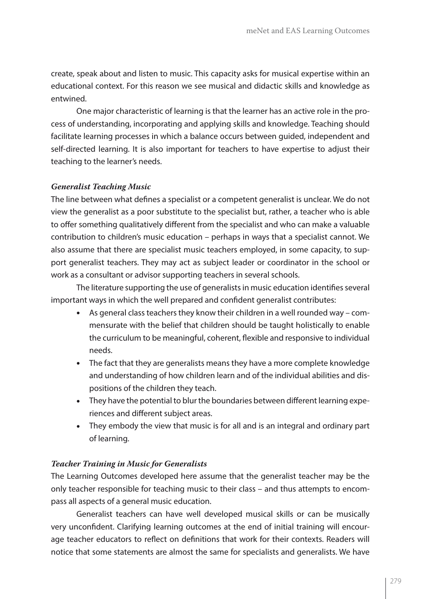create, speak about and listen to music. This capacity asks for musical expertise within an educational context. For this reason we see musical and didactic skills and knowledge as entwined.

One major characteristic of learning is that the learner has an active role in the process of understanding, incorporating and applying skills and knowledge. Teaching should facilitate learning processes in which a balance occurs between guided, independent and self-directed learning. It is also important for teachers to have expertise to adjust their teaching to the learner's needs.

#### *Generalist Teaching Music*

The line between what defines a specialist or a competent generalist is unclear. We do not view the generalist as a poor substitute to the specialist but, rather, a teacher who is able to offer something qualitatively different from the specialist and who can make a valuable contribution to children's music education – perhaps in ways that a specialist cannot. We also assume that there are specialist music teachers employed, in some capacity, to support generalist teachers. They may act as subject leader or coordinator in the school or work as a consultant or advisor supporting teachers in several schools.

The literature supporting the use of generalists in music education identifies several important ways in which the well prepared and confident generalist contributes:

- As general class teachers they know their children in a well rounded way commensurate with the belief that children should be taught holistically to enable the curriculum to be meaningful, coherent, flexible and responsive to individual needs.
- The fact that they are generalists means they have a more complete knowledge and understanding of how children learn and of the individual abilities and dispositions of the children they teach.
- They have the potential to blur the boundaries between different learning experiences and different subject areas.
- They embody the view that music is for all and is an integral and ordinary part of learning.

#### *Teacher Training in Music for Generalists*

The Learning Outcomes developed here assume that the generalist teacher may be the only teacher responsible for teaching music to their class – and thus attempts to encompass all aspects of a general music education.

Generalist teachers can have well developed musical skills or can be musically very unconfident. Clarifying learning outcomes at the end of initial training will encourage teacher educators to reflect on definitions that work for their contexts. Readers will notice that some statements are almost the same for specialists and generalists. We have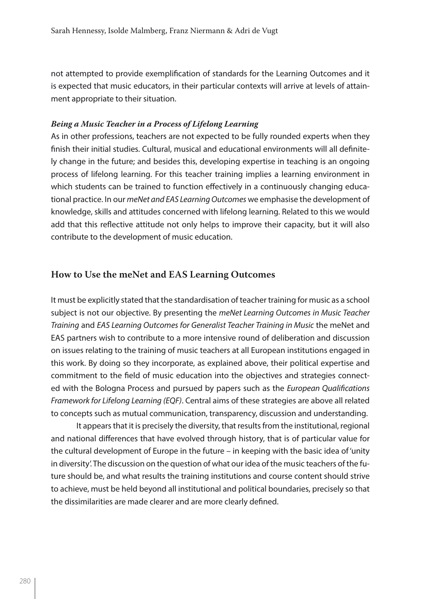not attempted to provide exemplification of standards for the Learning Outcomes and it is expected that music educators, in their particular contexts will arrive at levels of attainment appropriate to their situation.

#### *Being a Music Teacher in a Process of Lifelong Learning*

As in other professions, teachers are not expected to be fully rounded experts when they finish their initial studies. Cultural, musical and educational environments will all definitely change in the future; and besides this, developing expertise in teaching is an ongoing process of lifelong learning. For this teacher training implies a learning environment in which students can be trained to function effectively in a continuously changing educational practice. In our *meNet and EAS Learning Outcomes* we emphasise the development of knowledge, skills and attitudes concerned with lifelong learning. Related to this we would add that this reflective attitude not only helps to improve their capacity, but it will also contribute to the development of music education.

#### **How to Use the meNet and EAS Learning Outcomes**

It must be explicitly stated that the standardisation of teacher training for music as a school subject is not our objective. By presenting the *meNet Learning Outcomes in Music Teacher Training* and *EAS Learning Outcomes for Generalist Teacher Training in Music* the meNet and EAS partners wish to contribute to a more intensive round of deliberation and discussion on issues relating to the training of music teachers at all European institutions engaged in this work. By doing so they incorporate, as explained above, their political expertise and commitment to the field of music education into the objectives and strategies connected with the Bologna Process and pursued by papers such as the *European Qualifications Framework for Lifelong Learning (EQF)*. Central aims of these strategies are above all related to concepts such as mutual communication, transparency, discussion and understanding.

It appears that it is precisely the diversity, that results from the institutional, regional and national differences that have evolved through history, that is of particular value for the cultural development of Europe in the future – in keeping with the basic idea of 'unity in diversity'. The discussion on the question of what our idea of the music teachers of the future should be, and what results the training institutions and course content should strive to achieve, must be held beyond all institutional and political boundaries, precisely so that the dissimilarities are made clearer and are more clearly defined.